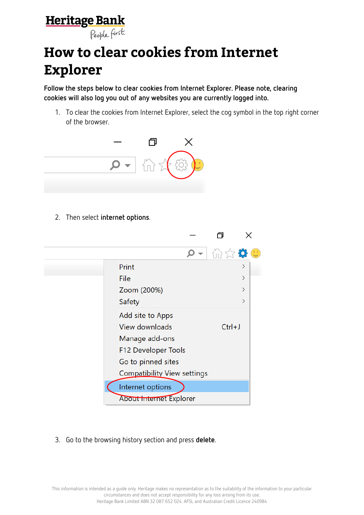## **Heritage Bank**

People first.

## **How to clear cookies from Internet Explorer**

**Follow the steps below to clear cookies from Internet Explorer. Please note, clearing cookies will also log you out of any websites you are currently logged into.**

1. To clear the cookies from Internet Explorer, select the cog symbol in the top right corner of the browser.



2. Then select **internet options**.



3. Go to the browsing history section and press **delete**.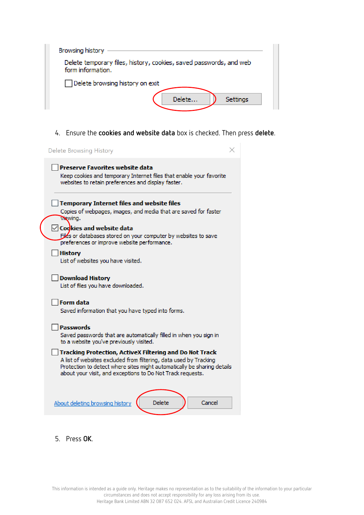| Browsing history                                                                        |                    |  |  |
|-----------------------------------------------------------------------------------------|--------------------|--|--|
| Delete temporary files, history, cookies, saved passwords, and web<br>form information. |                    |  |  |
| Delete browsing history on exit                                                         | Delete<br>Settings |  |  |

## 4. Ensure the **cookies and website data** box is checked. Then press **delete**.



5. Press **OK**.